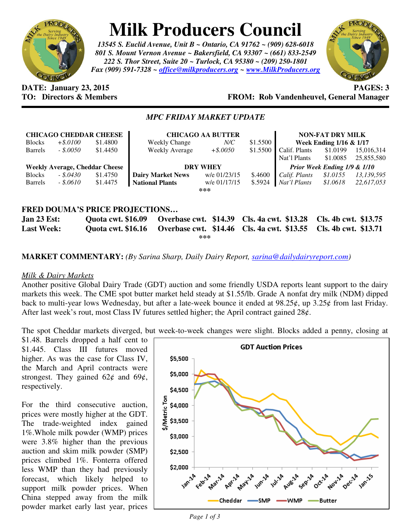

# **Milk Producers Council**

*13545 S. Euclid Avenue, Unit B ~ Ontario, CA 91762 ~ (909) 628-6018 801 S. Mount Vernon Avenue ~ Bakersfield, CA 93307 ~ (661) 833-2549 222 S. Thor Street, Suite 20 ~ Turlock, CA 95380 ~ (209) 250-1801 Fax (909) 591-7328 ~ office@milkproducers.org ~ www.MilkProducers.org*



#### **DATE: January 23, 2015 PAGES: 3 FROM: Rob Vandenheuvel, General Manager**

### *MPC FRIDAY MARKET UPDATE*

| <b>CHICAGO CHEDDAR CHEESE</b><br>\$1.4800<br><b>Blocks</b><br>$+$ \$.0100 |            |          | <b>CHICAGO AA BUTTER</b><br>$N\!/\!C$<br><b>Weekly Change</b> |              | \$1.5500 | <b>NON-FAT DRY MILK</b><br>Week Ending 1/16 & 1/17 |                      |                          |
|---------------------------------------------------------------------------|------------|----------|---------------------------------------------------------------|--------------|----------|----------------------------------------------------|----------------------|--------------------------|
| <b>Barrels</b>                                                            | $-.50050$  | \$1.4450 | Weekly Average                                                | $+$ \$.0050  | \$1.5500 | Calif. Plants<br>Nat'l Plants                      | \$1.0199<br>\$1.0085 | 15,016,314<br>25,855,580 |
| <b>Weekly Average, Cheddar Cheese</b>                                     |            |          | <b>DRY WHEY</b>                                               |              |          | Prior Week Ending 1/9 & 1/10                       |                      |                          |
| <b>Blocks</b>                                                             | $-.5.0430$ | \$1.4750 | <b>Dairy Market News</b>                                      | w/e 01/23/15 | \$.4600  | Calif. Plants                                      | \$1.0155             | 13,139,595               |
| <b>Barrels</b>                                                            | $-.5.0610$ | \$1.4475 | <b>National Plants</b>                                        | w/e 01/17/15 | \$.5924  | Nat'l Plants                                       | \$1.0618             | 22,617,053               |
| ***                                                                       |            |          |                                                               |              |          |                                                    |                      |                          |
|                                                                           |            |          |                                                               |              |          |                                                    |                      |                          |

### **FRED DOUMA'S PRICE PROJECTIONS…**

**Jan 23 Est: Quota cwt. \$16.09 Overbase cwt. \$14.39 Cls. 4a cwt. \$13.28 Cls. 4b cwt. \$13.75 Last Week: Quota cwt. \$16.16 Overbase cwt. \$14.46 Cls. 4a cwt. \$13.55 Cls. 4b cwt. \$13.71 \*\*\*** 

**MARKET COMMENTARY:** *(By Sarina Sharp, Daily Dairy Report, sarina@dailydairyreport.com)* 

## *Milk & Dairy Markets*

Another positive Global Dairy Trade (GDT) auction and some friendly USDA reports leant support to the dairy markets this week. The CME spot butter market held steady at \$1.55/lb. Grade A nonfat dry milk (NDM) dipped back to multi-year lows Wednesday, but after a late-week bounce it ended at 98.25¢, up 3.25¢ from last Friday. After last week's rout, most Class IV futures settled higher; the April contract gained  $28¢$ .

The spot Cheddar markets diverged, but week-to-week changes were slight. Blocks added a penny, closing at

\$1.48. Barrels dropped a half cent to \$1.445. Class III futures moved higher. As was the case for Class IV, the March and April contracts were strongest. They gained  $62¢$  and  $69¢$ , respectively.

For the third consecutive auction, prices were mostly higher at the GDT. The trade-weighted index gained 1%.Whole milk powder (WMP) prices were 3.8% higher than the previous auction and skim milk powder (SMP) prices climbed 1%. Fonterra offered less WMP than they had previously forecast, which likely helped to support milk powder prices. When China stepped away from the milk powder market early last year, prices

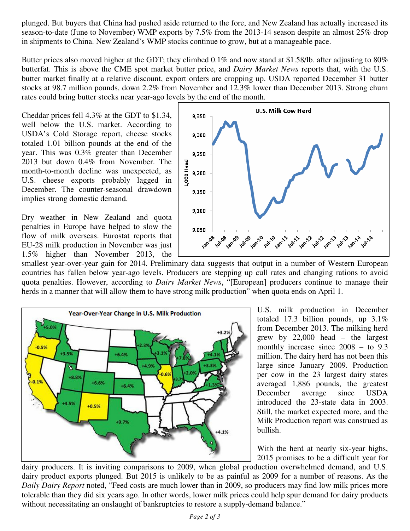plunged. But buyers that China had pushed aside returned to the fore, and New Zealand has actually increased its season-to-date (June to November) WMP exports by 7.5% from the 2013-14 season despite an almost 25% drop in shipments to China. New Zealand's WMP stocks continue to grow, but at a manageable pace.

Butter prices also moved higher at the GDT; they climbed 0.1% and now stand at \$1.58/lb. after adjusting to 80% butterfat. This is above the CME spot market butter price, and *Dairy Market News* reports that, with the U.S. butter market finally at a relative discount, export orders are cropping up. USDA reported December 31 butter stocks at 98.7 million pounds, down 2.2% from November and 12.3% lower than December 2013. Strong churn rates could bring butter stocks near year-ago levels by the end of the month.

Cheddar prices fell 4.3% at the GDT to \$1.34, well below the U.S. market. According to USDA's Cold Storage report, cheese stocks totaled 1.01 billion pounds at the end of the year. This was 0.3% greater than December 2013 but down 0.4% from November. The month-to-month decline was unexpected, as U.S. cheese exports probably lagged in December. The counter-seasonal drawdown implies strong domestic demand.

Dry weather in New Zealand and quota penalties in Europe have helped to slow the flow of milk overseas. Eurostat reports that EU-28 milk production in November was just 1.5% higher than November 2013, the



smallest year-over-year gain for 2014. Preliminary data suggests that output in a number of Western European countries has fallen below year-ago levels. Producers are stepping up cull rates and changing rations to avoid quota penalties. However, according to *Dairy Market News*, "[European] producers continue to manage their herds in a manner that will allow them to have strong milk production" when quota ends on April 1.



U.S. milk production in December totaled 17.3 billion pounds, up 3.1% from December 2013. The milking herd grew by 22,000 head – the largest monthly increase since 2008 – to 9.3 million. The dairy herd has not been this large since January 2009. Production per cow in the 23 largest dairy states averaged 1,886 pounds, the greatest December average since USDA introduced the 23-state data in 2003. Still, the market expected more, and the Milk Production report was construed as bullish.

With the herd at nearly six-year highs, 2015 promises to be a difficult year for

dairy producers. It is inviting comparisons to 2009, when global production overwhelmed demand, and U.S. dairy product exports plunged. But 2015 is unlikely to be as painful as 2009 for a number of reasons. As the *Daily Dairy Report* noted, "Feed costs are much lower than in 2009, so producers may find low milk prices more tolerable than they did six years ago. In other words, lower milk prices could help spur demand for dairy products without necessitating an onslaught of bankruptcies to restore a supply-demand balance."